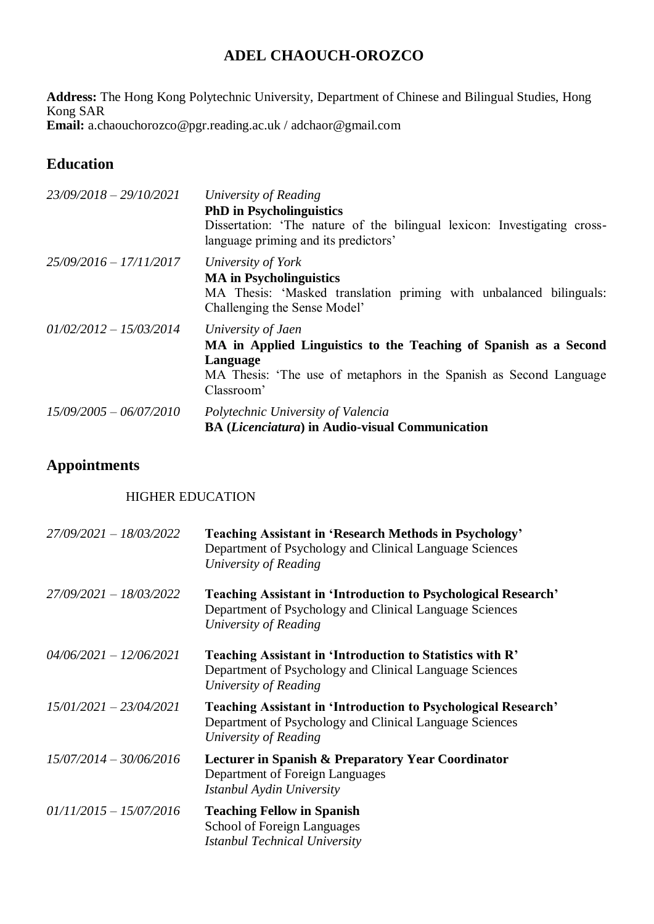# **ADEL CHAOUCH-OROZCO**

**Address:** The Hong Kong Polytechnic University, Department of Chinese and Bilingual Studies, Hong Kong SAR **Email:** a.chaouchorozco@pgr.reading.ac.uk / adchaor@gmail.com

**Education**

| $23/09/2018 - 29/10/2021$ | University of Reading<br><b>PhD</b> in Psycholinguistics<br>Dissertation: 'The nature of the bilingual lexicon: Investigating cross-<br>language priming and its predictors'           |
|---------------------------|----------------------------------------------------------------------------------------------------------------------------------------------------------------------------------------|
| $25/09/2016 - 17/11/2017$ | University of York<br><b>MA</b> in Psycholinguistics<br>MA Thesis: 'Masked translation priming with unbalanced bilinguals:<br>Challenging the Sense Model'                             |
| $01/02/2012 - 15/03/2014$ | University of Jaen<br>MA in Applied Linguistics to the Teaching of Spanish as a Second<br>Language<br>MA Thesis: 'The use of metaphors in the Spanish as Second Language<br>Classroom' |
| $15/09/2005 - 06/07/2010$ | Polytechnic University of Valencia<br><b>BA (Licenciatura) in Audio-visual Communication</b>                                                                                           |

# **Appointments**

### HIGHER EDUCATION

| $27/09/2021 - 18/03/2022$ | <b>Teaching Assistant in 'Research Methods in Psychology'</b><br>Department of Psychology and Clinical Language Sciences<br>University of Reading         |
|---------------------------|-----------------------------------------------------------------------------------------------------------------------------------------------------------|
| $27/09/2021 - 18/03/2022$ | <b>Teaching Assistant in 'Introduction to Psychological Research'</b><br>Department of Psychology and Clinical Language Sciences<br>University of Reading |
| $04/06/2021 - 12/06/2021$ | Teaching Assistant in 'Introduction to Statistics with R'<br>Department of Psychology and Clinical Language Sciences<br>University of Reading             |
| $15/01/2021 - 23/04/2021$ | <b>Teaching Assistant in 'Introduction to Psychological Research'</b><br>Department of Psychology and Clinical Language Sciences<br>University of Reading |
| $15/07/2014 - 30/06/2016$ | <b>Lecturer in Spanish &amp; Preparatory Year Coordinator</b><br>Department of Foreign Languages<br>Istanbul Aydin University                             |
| $01/11/2015 - 15/07/2016$ | <b>Teaching Fellow in Spanish</b><br>School of Foreign Languages<br><b>Istanbul Technical University</b>                                                  |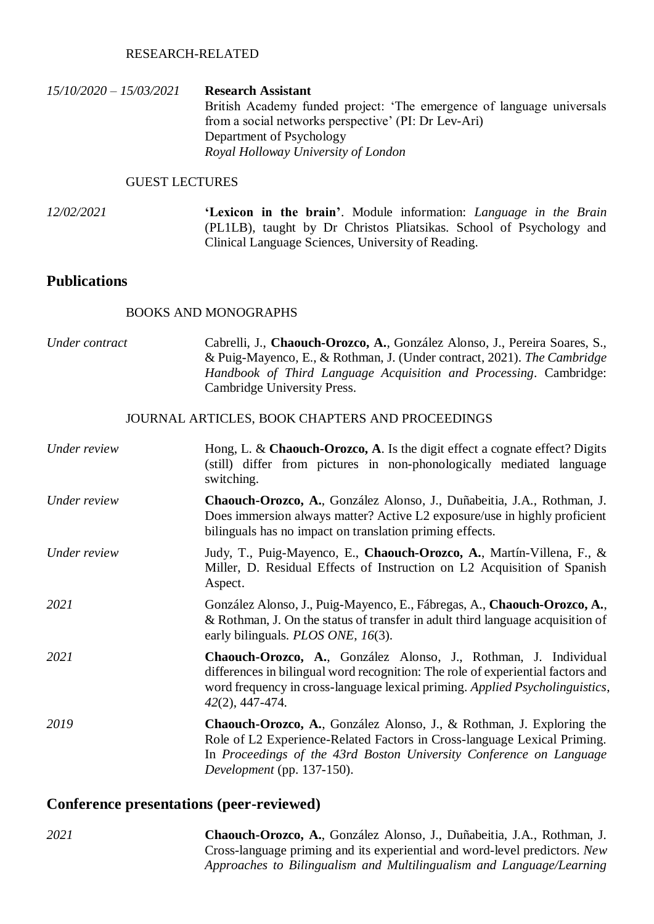#### RESEARCH-RELATED

*15/10/2020 – 15/03/2021* **Research Assistant** British Academy funded project: 'The emergence of language universals from a social networks perspective' (PI: Dr Lev-Ari) Department of Psychology *Royal Holloway University of London*

### GUEST LECTURES

*12/02/2021* **'Lexicon in the brain'**. Module information: *Language in the Brain* (PL1LB), taught by Dr Christos Pliatsikas. School of Psychology and Clinical Language Sciences, University of Reading.

### **Publications**

#### BOOKS AND MONOGRAPHS

| Under contract | Cabrelli, J., Chaouch-Orozco, A., González Alonso, J., Pereira Soares, S.,<br>& Puig-Mayenco, E., & Rothman, J. (Under contract, 2021). The Cambridge<br>Handbook of Third Language Acquisition and Processing. Cambridge:<br>Cambridge University Press. |
|----------------|-----------------------------------------------------------------------------------------------------------------------------------------------------------------------------------------------------------------------------------------------------------|
|                | JOURNAL ARTICLES, BOOK CHAPTERS AND PROCEEDINGS                                                                                                                                                                                                           |
| Under review   | Hong, L. & Chaouch-Orozco, A. Is the digit effect a cognate effect? Digits<br>(still) differ from pictures in non-phonologically mediated language<br>switching.                                                                                          |
| Under review   | Chaouch-Orozco, A., González Alonso, J., Duñabeitia, J.A., Rothman, J.<br>Does immersion always matter? Active L2 exposure/use in highly proficient<br>bilinguals has no impact on translation priming effects.                                           |
| Under review   | Judy, T., Puig-Mayenco, E., Chaouch-Orozco, A., Martín-Villena, F., &<br>Miller, D. Residual Effects of Instruction on L2 Acquisition of Spanish<br>Aspect.                                                                                               |
| 2021           | González Alonso, J., Puig-Mayenco, E., Fábregas, A., Chaouch-Orozco, A.,<br>& Rothman, J. On the status of transfer in adult third language acquisition of<br>early bilinguals. <i>PLOS ONE</i> , 16(3).                                                  |
| 2021           | Chaouch-Orozco, A., González Alonso, J., Rothman, J. Individual<br>differences in bilingual word recognition: The role of experiential factors and<br>word frequency in cross-language lexical priming. Applied Psycholinguistics,<br>$42(2)$ , 447-474.  |
| 2019           | Chaouch-Orozco, A., González Alonso, J., & Rothman, J. Exploring the<br>Role of L2 Experience-Related Factors in Cross-language Lexical Priming.<br>In Proceedings of the 43rd Boston University Conference on Language<br>Development (pp. 137-150).     |

## **Conference presentations (peer-reviewed)**

*2021* **Chaouch-Orozco, A.**, González Alonso, J., Duñabeitia, J.A., Rothman, J. Cross-language priming and its experiential and word-level predictors. *New Approaches to Bilingualism and Multilingualism and Language/Learning*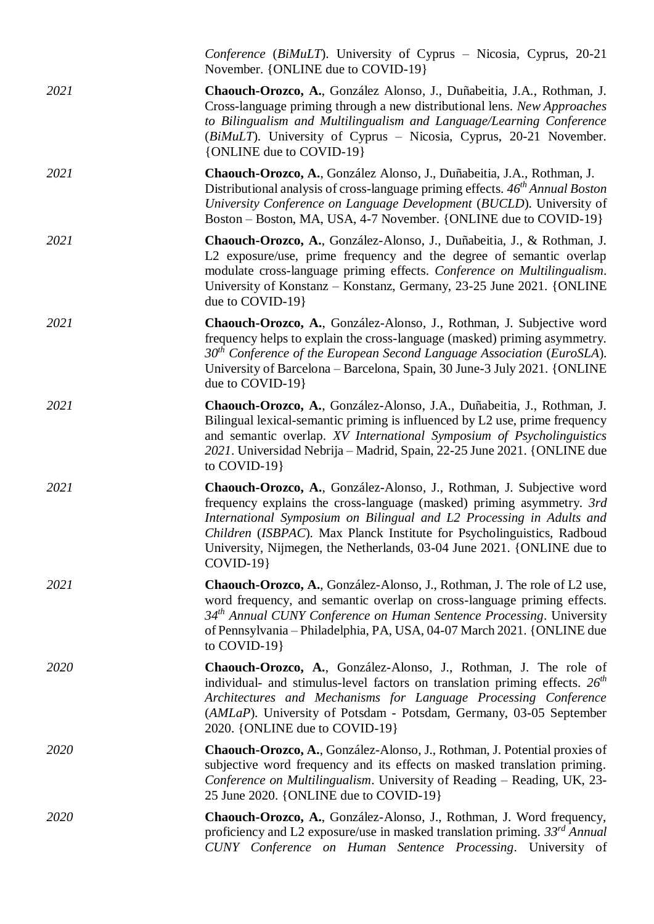|             | <i>Conference (BiMuLT)</i> . University of Cyprus – Nicosia, Cyprus, 20-21<br>November. {ONLINE due to COVID-19}                                                                                                                                                                                                                                                                        |
|-------------|-----------------------------------------------------------------------------------------------------------------------------------------------------------------------------------------------------------------------------------------------------------------------------------------------------------------------------------------------------------------------------------------|
| 2021        | Chaouch-Orozco, A., González Alonso, J., Duñabeitia, J.A., Rothman, J.<br>Cross-language priming through a new distributional lens. New Approaches<br>to Bilingualism and Multilingualism and Language/Learning Conference<br>(BiMuLT). University of Cyprus – Nicosia, Cyprus, 20-21 November.<br>{ONLINE due to COVID-19}                                                             |
| 2021        | Chaouch-Orozco, A., González Alonso, J., Duñabeitia, J.A., Rothman, J.<br>Distributional analysis of cross-language priming effects. 46 <sup>th</sup> Annual Boston<br>University Conference on Language Development (BUCLD). University of<br>Boston – Boston, MA, USA, 4-7 November. {ONLINE due to COVID-19}                                                                         |
| 2021        | Chaouch-Orozco, A., González-Alonso, J., Duñabeitia, J., & Rothman, J.<br>L2 exposure/use, prime frequency and the degree of semantic overlap<br>modulate cross-language priming effects. Conference on Multilingualism.<br>University of Konstanz – Konstanz, Germany, 23-25 June 2021. {ONLINE}<br>due to COVID-19}                                                                   |
| 2021        | Chaouch-Orozco, A., González-Alonso, J., Rothman, J. Subjective word<br>frequency helps to explain the cross-language (masked) priming asymmetry.<br>$30th$ Conference of the European Second Language Association (EuroSLA).<br>University of Barcelona – Barcelona, Spain, 30 June-3 July 2021. {ONLINE}<br>due to COVID-19}                                                          |
| 2021        | Chaouch-Orozco, A., González-Alonso, J.A., Duñabeitia, J., Rothman, J.<br>Bilingual lexical-semantic priming is influenced by L2 use, prime frequency<br>and semantic overlap. XV International Symposium of Psycholinguistics<br>2021. Universidad Nebrija - Madrid, Spain, 22-25 June 2021. {ONLINE due<br>to $COVID-19$                                                              |
| 2021        | Chaouch-Orozco, A., González-Alonso, J., Rothman, J. Subjective word<br>frequency explains the cross-language (masked) priming asymmetry. 3rd<br>International Symposium on Bilingual and L2 Processing in Adults and<br>Children (ISBPAC). Max Planck Institute for Psycholinguistics, Radboud<br>University, Nijmegen, the Netherlands, 03-04 June 2021. {ONLINE due to<br>$COVID-19$ |
| 2021        | Chaouch-Orozco, A., González-Alonso, J., Rothman, J. The role of L2 use,<br>word frequency, and semantic overlap on cross-language priming effects.<br>34th Annual CUNY Conference on Human Sentence Processing. University<br>of Pennsylvania – Philadelphia, PA, USA, 04-07 March 2021. {ONLINE due<br>to COVID-19}                                                                   |
| <b>2020</b> | Chaouch-Orozco, A., González-Alonso, J., Rothman, J. The role of<br>individual- and stimulus-level factors on translation priming effects. $26th$<br>Architectures and Mechanisms for Language Processing Conference<br>(AMLaP). University of Potsdam - Potsdam, Germany, 03-05 September<br>2020. {ONLINE due to COVID-19}                                                            |
| 2020        | Chaouch-Orozco, A., González-Alonso, J., Rothman, J. Potential proxies of<br>subjective word frequency and its effects on masked translation priming.<br>Conference on Multilingualism. University of Reading - Reading, UK, 23-<br>25 June 2020. {ONLINE due to COVID-19}                                                                                                              |
| <i>2020</i> | Chaouch-Orozco, A., González-Alonso, J., Rothman, J. Word frequency,<br>proficiency and L2 exposure/use in masked translation priming. $33^{rd}$ Annual<br>CUNY Conference on Human Sentence Processing. University of                                                                                                                                                                  |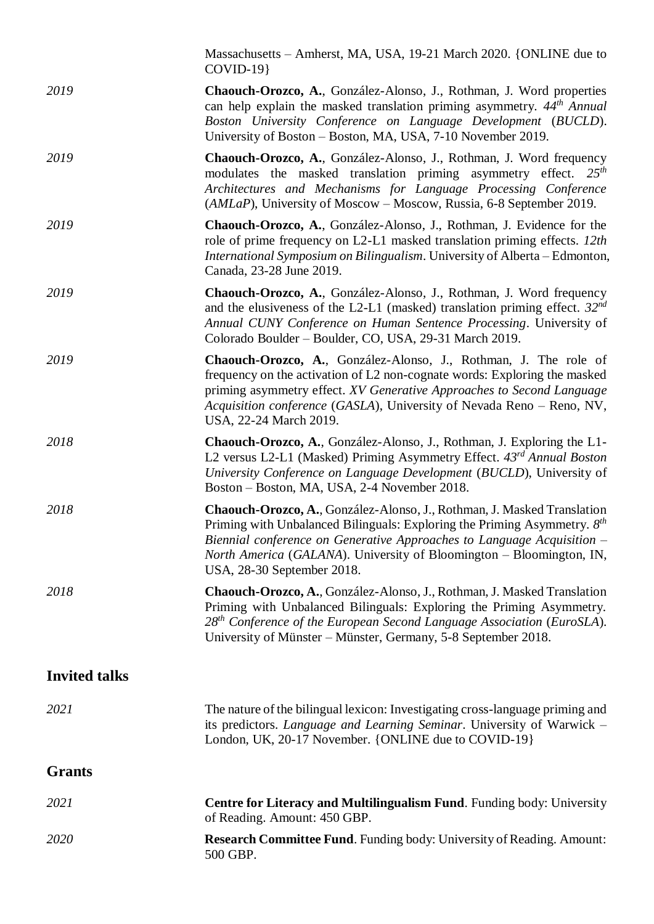| 2020                 | <b>Research Committee Fund.</b> Funding body: University of Reading. Amount:<br>500 GBP.                                                                                                                                                                                                                                              |
|----------------------|---------------------------------------------------------------------------------------------------------------------------------------------------------------------------------------------------------------------------------------------------------------------------------------------------------------------------------------|
| 2021                 | <b>Centre for Literacy and Multilingualism Fund.</b> Funding body: University<br>of Reading. Amount: 450 GBP.                                                                                                                                                                                                                         |
| <b>Grants</b>        |                                                                                                                                                                                                                                                                                                                                       |
| 2021                 | The nature of the bilingual lexicon: Investigating cross-language priming and<br>its predictors. Language and Learning Seminar. University of Warwick -<br>London, UK, 20-17 November. {ONLINE due to COVID-19}                                                                                                                       |
| <b>Invited talks</b> |                                                                                                                                                                                                                                                                                                                                       |
| 2018                 | Chaouch-Orozco, A., González-Alonso, J., Rothman, J. Masked Translation<br>Priming with Unbalanced Bilinguals: Exploring the Priming Asymmetry.<br>$28th$ Conference of the European Second Language Association (EuroSLA).<br>University of Münster – Münster, Germany, 5-8 September 2018.                                          |
| 2018                 | Chaouch-Orozco, A., González-Alonso, J., Rothman, J. Masked Translation<br>Priming with Unbalanced Bilinguals: Exploring the Priming Asymmetry. $8th$<br>Biennial conference on Generative Approaches to Language Acquisition -<br>North America (GALANA). University of Bloomington - Bloomington, IN,<br>USA, 28-30 September 2018. |
| 2018                 | Chaouch-Orozco, A., González-Alonso, J., Rothman, J. Exploring the L1-<br>L2 versus L2-L1 (Masked) Priming Asymmetry Effect. 43 <sup>rd</sup> Annual Boston<br>University Conference on Language Development (BUCLD), University of<br>Boston – Boston, MA, USA, 2-4 November 2018.                                                   |
| 2019                 | Chaouch-Orozco, A., González-Alonso, J., Rothman, J. The role of<br>frequency on the activation of L2 non-cognate words: Exploring the masked<br>priming asymmetry effect. XV Generative Approaches to Second Language<br>Acquisition conference (GASLA), University of Nevada Reno - Reno, NV,<br>USA, 22-24 March 2019.             |
| 2019                 | Chaouch-Orozco, A., González-Alonso, J., Rothman, J. Word frequency<br>and the elusiveness of the L2-L1 (masked) translation priming effect. $32^{nd}$<br>Annual CUNY Conference on Human Sentence Processing. University of<br>Colorado Boulder - Boulder, CO, USA, 29-31 March 2019.                                                |
| 2019                 | Chaouch-Orozco, A., González-Alonso, J., Rothman, J. Evidence for the<br>role of prime frequency on L2-L1 masked translation priming effects. 12th<br>International Symposium on Bilingualism. University of Alberta – Edmonton,<br>Canada, 23-28 June 2019.                                                                          |
| 2019                 | Chaouch-Orozco, A., González-Alonso, J., Rothman, J. Word frequency<br>modulates the masked translation priming asymmetry effect. $25th$<br>Architectures and Mechanisms for Language Processing Conference<br>(AMLaP), University of Moscow – Moscow, Russia, 6-8 September 2019.                                                    |
| 2019                 | Chaouch-Orozco, A., González-Alonso, J., Rothman, J. Word properties<br>can help explain the masked translation priming asymmetry. $44th$ Annual<br>Boston University Conference on Language Development (BUCLD).<br>University of Boston - Boston, MA, USA, 7-10 November 2019.                                                      |
|                      | Massachusetts - Amherst, MA, USA, 19-21 March 2020. {ONLINE due to<br>$COVID-19$                                                                                                                                                                                                                                                      |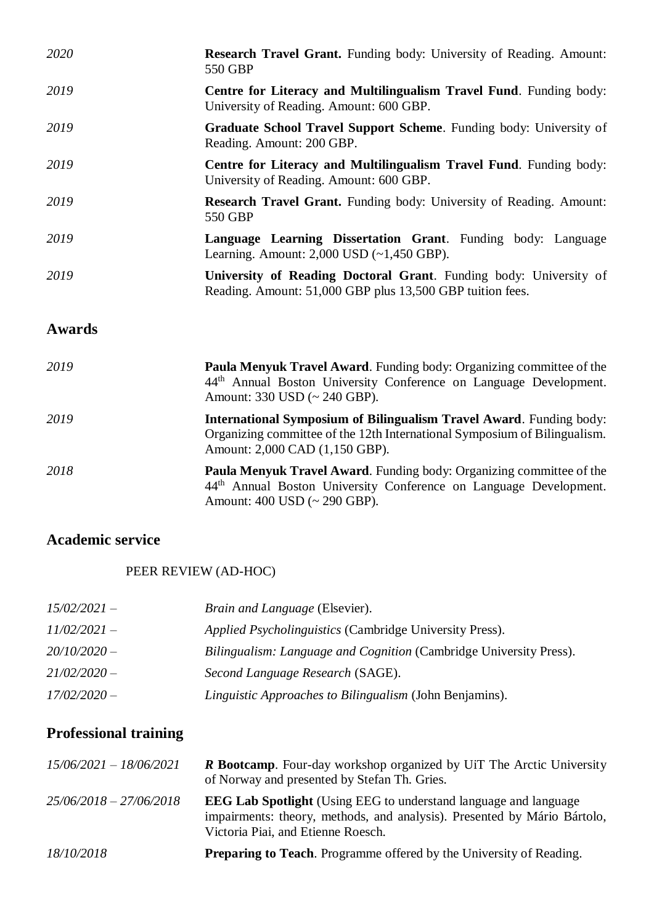| 2020          | <b>Research Travel Grant.</b> Funding body: University of Reading. Amount:                                                                                                                   |
|---------------|----------------------------------------------------------------------------------------------------------------------------------------------------------------------------------------------|
|               | 550 GBP                                                                                                                                                                                      |
| 2019          | Centre for Literacy and Multilingualism Travel Fund. Funding body:<br>University of Reading. Amount: 600 GBP.                                                                                |
| 2019          | Graduate School Travel Support Scheme. Funding body: University of<br>Reading. Amount: 200 GBP.                                                                                              |
| 2019          | Centre for Literacy and Multilingualism Travel Fund. Funding body:<br>University of Reading. Amount: 600 GBP.                                                                                |
| 2019          | <b>Research Travel Grant.</b> Funding body: University of Reading. Amount:<br>550 GBP                                                                                                        |
| 2019          | Language Learning Dissertation Grant. Funding body: Language<br>Learning. Amount: $2,000$ USD $(-1,450$ GBP).                                                                                |
| 2019          | University of Reading Doctoral Grant. Funding body: University of<br>Reading. Amount: 51,000 GBP plus 13,500 GBP tuition fees.                                                               |
| <b>Awards</b> |                                                                                                                                                                                              |
| 2019          | <b>Paula Menyuk Travel Award.</b> Funding body: Organizing committee of the<br>44 <sup>th</sup> Annual Boston University Conference on Language Development.<br>Amount: 330 USD (~ 240 GBP). |
| 2010          | TI PIC ' PDU' PRIMITIC LITTLE                                                                                                                                                                |

- *2019* **International Symposium of Bilingualism Travel Award**. Funding body: Organizing committee of the 12th International Symposium of Bilingualism. Amount: 2,000 CAD (1,150 GBP).
- *2018* **Paula Menyuk Travel Award**. Funding body: Organizing committee of the 44th Annual Boston University Conference on Language Development. Amount: 400 USD (~ 290 GBP).

## **Academic service**

## PEER REVIEW (AD-HOC)

| $15/02/2021 -$ | <i>Brain and Language (Elsevier).</i>                              |
|----------------|--------------------------------------------------------------------|
| $11/02/2021 -$ | <i>Applied Psycholinguistics</i> (Cambridge University Press).     |
| $20/10/2020-$  | Bilingualism: Language and Cognition (Cambridge University Press). |
| $21/02/2020 -$ | Second Language Research (SAGE).                                   |
| $17/02/2020 -$ | Linguistic Approaches to Bilingualism (John Benjamins).            |

# **Professional training**

| $15/06/2021 - 18/06/2021$ | <b>R Bootcamp.</b> Four-day workshop organized by UiT The Arctic University<br>of Norway and presented by Stefan Th. Gries.                                                               |
|---------------------------|-------------------------------------------------------------------------------------------------------------------------------------------------------------------------------------------|
| $25/06/2018 - 27/06/2018$ | <b>EEG Lab Spotlight</b> (Using EEG to understand language and language<br>impairments: theory, methods, and analysis). Presented by Mário Bártolo,<br>Victoria Piai, and Etienne Roesch. |
| 18/10/2018                | <b>Preparing to Teach.</b> Programme offered by the University of Reading.                                                                                                                |